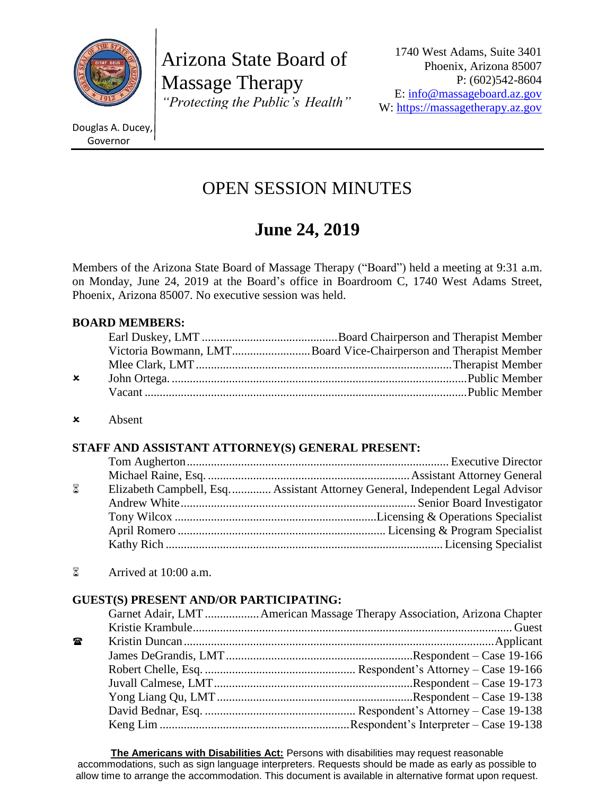

Arizona State Board of Massage Therapy *"Protecting the Public's Health"*

1740 West Adams, Suite 3401 Phoenix, Arizona 85007 P: (602)542-8604 E: [info@massageboard.az.gov](mailto:info@massageboard.az.gov) W: [https://massagetherapy.az.gov](https://massagetherapy.az.gov/)

Douglas A. Ducey, Governor

## OPEN SESSION MINUTES

# **June 24, 2019**

Members of the Arizona State Board of Massage Therapy ("Board") held a meeting at 9:31 a.m. on Monday, June 24, 2019 at the Board's office in Boardroom C, 1740 West Adams Street, Phoenix, Arizona 85007. No executive session was held.

## **BOARD MEMBERS:**

|              | Victoria Bowmann, LMTBoard Vice-Chairperson and Therapist Member |
|--------------|------------------------------------------------------------------|
|              |                                                                  |
| $\mathsf{x}$ |                                                                  |
|              |                                                                  |
|              |                                                                  |

Absent

## **STAFF AND ASSISTANT ATTORNEY(S) GENERAL PRESENT:**

| 8 | Elizabeth Campbell, Esq.    Assistant Attorney General, Independent Legal Advisor |
|---|-----------------------------------------------------------------------------------|
|   |                                                                                   |
|   |                                                                                   |
|   |                                                                                   |
|   |                                                                                   |
|   |                                                                                   |

 $\delta$  Arrived at 10:00 a.m.

## **GUEST(S) PRESENT AND/OR PARTICIPATING:**

| Garnet Adair, LMT  American Massage Therapy Association, Arizona Chapter |
|--------------------------------------------------------------------------|
|                                                                          |
|                                                                          |
|                                                                          |
|                                                                          |
|                                                                          |
|                                                                          |
|                                                                          |
|                                                                          |
|                                                                          |

**The Americans with Disabilities Act:** Persons with disabilities may request reasonable accommodations, such as sign language interpreters. Requests should be made as early as possible to allow time to arrange the accommodation. This document is available in alternative format upon request.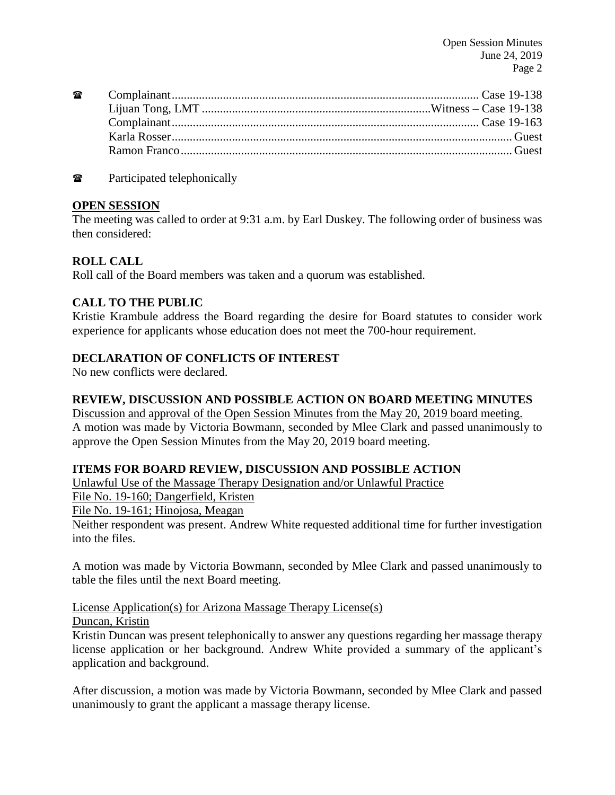**Table 2** Participated telephonically

#### **OPEN SESSION**

The meeting was called to order at 9:31 a.m. by Earl Duskey. The following order of business was then considered:

## **ROLL CALL**

Roll call of the Board members was taken and a quorum was established.

#### **CALL TO THE PUBLIC**

Kristie Krambule address the Board regarding the desire for Board statutes to consider work experience for applicants whose education does not meet the 700-hour requirement.

#### **DECLARATION OF CONFLICTS OF INTEREST**

No new conflicts were declared.

#### **REVIEW, DISCUSSION AND POSSIBLE ACTION ON BOARD MEETING MINUTES**

Discussion and approval of the Open Session Minutes from the May 20, 2019 board meeting. A motion was made by Victoria Bowmann, seconded by Mlee Clark and passed unanimously to approve the Open Session Minutes from the May 20, 2019 board meeting.

#### **ITEMS FOR BOARD REVIEW, DISCUSSION AND POSSIBLE ACTION**

Unlawful Use of the Massage Therapy Designation and/or Unlawful Practice

File No. 19-160; Dangerfield, Kristen

File No. 19-161; Hinojosa, Meagan

Neither respondent was present. Andrew White requested additional time for further investigation into the files.

A motion was made by Victoria Bowmann, seconded by Mlee Clark and passed unanimously to table the files until the next Board meeting.

## License Application(s) for Arizona Massage Therapy License(s)

## Duncan, Kristin

Kristin Duncan was present telephonically to answer any questions regarding her massage therapy license application or her background. Andrew White provided a summary of the applicant's application and background.

After discussion, a motion was made by Victoria Bowmann, seconded by Mlee Clark and passed unanimously to grant the applicant a massage therapy license.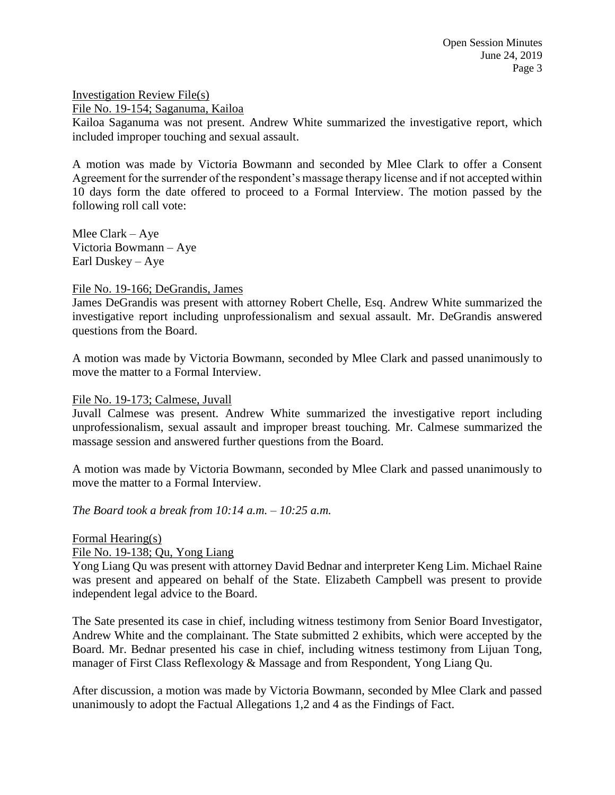Investigation Review File(s) File No. 19-154; Saganuma, Kailoa

Kailoa Saganuma was not present. Andrew White summarized the investigative report, which included improper touching and sexual assault.

A motion was made by Victoria Bowmann and seconded by Mlee Clark to offer a Consent Agreement for the surrender of the respondent's massage therapy license and if not accepted within 10 days form the date offered to proceed to a Formal Interview. The motion passed by the following roll call vote:

Mlee Clark – Aye Victoria Bowmann – Aye Earl Duskey – Aye

#### File No. 19-166; DeGrandis, James

James DeGrandis was present with attorney Robert Chelle, Esq. Andrew White summarized the investigative report including unprofessionalism and sexual assault. Mr. DeGrandis answered questions from the Board.

A motion was made by Victoria Bowmann, seconded by Mlee Clark and passed unanimously to move the matter to a Formal Interview.

#### File No. 19-173; Calmese, Juvall

Juvall Calmese was present. Andrew White summarized the investigative report including unprofessionalism, sexual assault and improper breast touching. Mr. Calmese summarized the massage session and answered further questions from the Board.

A motion was made by Victoria Bowmann, seconded by Mlee Clark and passed unanimously to move the matter to a Formal Interview.

*The Board took a break from 10:14 a.m. – 10:25 a.m.*

#### Formal Hearing(s)

File No. 19-138; Qu, Yong Liang

Yong Liang Qu was present with attorney David Bednar and interpreter Keng Lim. Michael Raine was present and appeared on behalf of the State. Elizabeth Campbell was present to provide independent legal advice to the Board.

The Sate presented its case in chief, including witness testimony from Senior Board Investigator, Andrew White and the complainant. The State submitted 2 exhibits, which were accepted by the Board. Mr. Bednar presented his case in chief, including witness testimony from Lijuan Tong, manager of First Class Reflexology & Massage and from Respondent, Yong Liang Qu.

After discussion, a motion was made by Victoria Bowmann, seconded by Mlee Clark and passed unanimously to adopt the Factual Allegations 1,2 and 4 as the Findings of Fact.